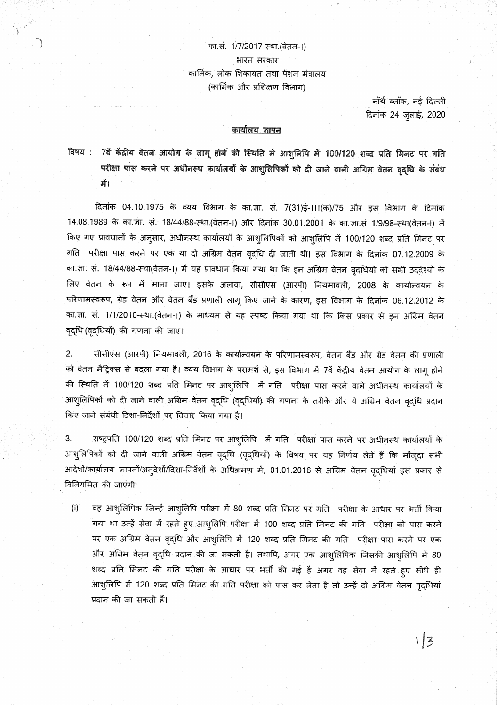## फा.सं. 1/7/2017-स्था.(वेतन-।) भारत सरकार कार्मिक, लोक शिकायत तथा पेंशन मंत्रालय (कार्मिक और प्रशिक्षण विभाग)

 $\frac{1}{\sqrt{2}}\int_{\mathbb{R}^{2}}\frac{1}{\lambda_{\text{max}}}\left|\frac{\lambda_{\text{max}}}{\lambda_{\text{max}}}\right|^{2}d\lambda_{\text{max}}$ 

नॉर्थ ब्लॉक, नई दिल्ली दिनांक 24 जुलाई, 2020

## <u>कार्यालय ज्ञापन</u>

विषय : 7वें केंद्रीय वेतन आयोग के लागू होने की स्थिति में आशुलिपि में 100/120 शब्द प्रति मिनट पर गति परीक्षा पास करने पर अधीनस्थ कार्यालयों के आशुलिपिकों को दी जाने वाली अग्रिम वेतन वृद्धि के संबंध में।

दिनांक 04.10.1975 के व्यय विभाग के का.जा. सं. 7(31)ई-111(क)/75 और इस विभाग के दिनांक 14.08.1989 के का.जा. सं. 18/44/88-स्था.(वेतन-।) और दिनांक 30.01.2001 के का.जा.सं 1/9/98-स्था(वेतन-।) में किए गए प्रावधानों के अनुसार, अधीनस्थ कार्यालयों के आशुलिपिकों को आशुलिपि में 100/120 शब्द प्रति मिनट पर गति परीक्षा पास करने पर एक या दो अग्रिम वेतन वृद्धि दी जाती थी। इस विभाग के दिनांक 07.12.2009 के का ज्ञा. सं. 18/44/88-स्था(वेतन-।) में यह प्रावधान किया गया था कि इन अग्रिम वेतन वृद्धियों को सभी उद्देश्यों के लिए वेतन के रूप में माना जाए। इसके अलावा, सीसीएस (आरपी) नियमावली, 2008 के कार्यान्वयन के परिणामस्वरूप, ग्रेड वेतन और वेतन बैंड प्रणाली लागू किए जाने के कारण, इस विभाग के दिनांक 06.12.2012 के का ज्ञा. सं. 1/1/2010-स्था (वेतन-।) के माध्यम से यह स्पष्ट किया गया था कि किस प्रकार से इन अग्रिम वेतन वृद्धि (वृद्धियों) की गणना की जाए।

 $2.$ सीसीएस (आरपी) नियमावली, 2016 के कार्यान्वयन के परिणामस्वरूप, वेतन बैंड और ग्रेड वेतन की प्रणाली को वेतन मैट्रिक्स से बदला गया है। व्यय विभाग के परामर्श से, इस विभाग में 7वें केंद्रीय वेतन आयोग के लागू होने की स्थिति में 100/120 शब्द प्रति मिनट पर आशुलिपि में गति परीक्षा पास करने वाले अधीनस्थ कार्यालयों के आशुलिपिकों को दी जाने वाली अग्रिम वेतन वृद्धि (वृद्धियों) की गणना के तरीके और ये अग्रिम वेतन वृद्धि प्रदान किए जाने संबंधी दिशा-निर्देशों पर विचार किया गया है।

3. राष्ट्रपति 100/120 शब्द प्रति मिनट पर आशुलिपि में गति परीक्षा पास करने पर अधीनस्थ कार्यालयों के आशुलिपिकों को दी जाने वाली अग्रिम वेतन वृद्धि (वृद्धियों) के विषय पर यह निर्णय लेते हैं कि मौजूदा सभी आदेशों/कार्यालय ज्ञापनों/अन्देशों/दिशा-निर्देशों के अधिक्रमण में, 01.01.2016 से अग्रिम वेतन वृद्धियां इस प्रकार से विनियमित की जाएंगी:

 $(i)$ वह आशुलिपिक जिन्हें आशुलिपि परीक्षा में 80 शब्द प्रति मिनट पर गति परीक्षा के आधार पर भर्ती किया गया था उन्हें सेवा में रहते हुए आशुलिपि परीक्षा में 100 शब्द प्रति मिनट की गति परीक्षा को पास करने पर एक अग्रिम वेतन वृद्धि और आशुलिपि में 120 शब्द प्रति मिनट की गति परीक्षा पास करने पर एक और अग्रिम वेतन वृद्धि प्रदान की जा सकती है। तथापि, अगर एक आशुलिपिक जिसकी आशुलिपि में 80 शब्द प्रति मिनट की गति परीक्षा के आधार पर भर्ती की गई है अगर वह सेवा में रहते हुए सीधे ही आशुलिपि में 120 शब्द प्रति मिनट की गति परीक्षा को पास कर लेता है तो उन्हें दो अग्रिम वेतन वृद्धियां प्रदान की जा सकती हैं।

 $1/3$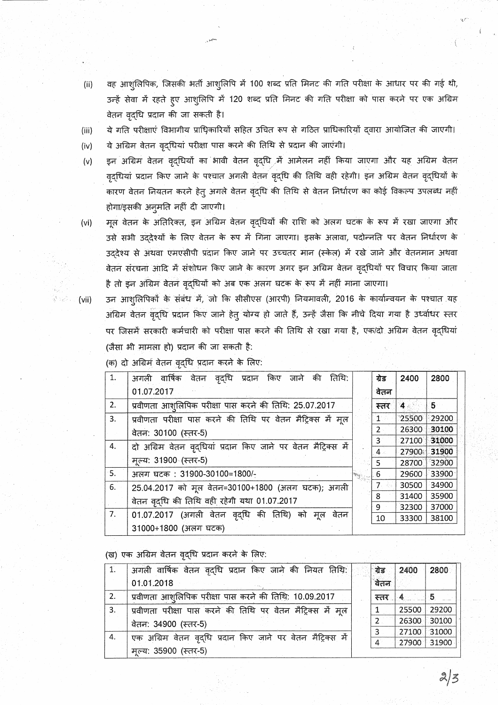- वह आशुलिपिक, जिसकी भर्ती आशुलिपि में 100 शब्द प्रति मिनट की गति परीक्षा के आधार पर की गई थी,  $(ii)$ उन्हें सेवा में रहते हुए आशुलिपि में 120 शब्द प्रति मिनट की गति परीक्षा को पास करने पर एक अग्रिम वेतन वृद्धि प्रदान की जा सकती है।
- ये गति परीक्षाएं विभागीय प्राधिकारियों सहित उचित रूप से गठित प्राधिकारियों द्वारा आयोजित की जाएगी।  $(iii)$
- ये अग्रिम वेतन वृद्धियां परीक्षा पास करने की तिथि से प्रदान की जाएंगी।  $(iv)$
- इन अग्रिम वेतन वृद्धियों का भावी वेतन वृद्धि में आमेलन नहीं किया जाएगा और यह अग्रिम वेतन  $(v)$ वृदधियां प्रदान किए जाने के पश्चात अगली वेतन वृद्धि की तिथि वही रहेगी। इन अग्रिम वेतन वृद्धियों के कारण वेतन नियतन करने हेतु अगले वेतन वृद्धि की तिथि से वेतन निर्धारण का कोई विकल्प उपलब्ध नहीं होगा/इसकी अनुमति नहीं दी जाएगी।
- मूल वेतन के अतिरिक्त, इन अग्रिम वेतन वृद्धियों की राशि को अलग घटक के रूप में रखा जाएगा और  $(vi)$ उसे सभी उददेश्यों के लिए वेतन के रूप में गिना जाएगा। इसके अलावा, पदोन्नति पर वेतन निर्धारण के उद्देश्य से अथवा एमएसीपी प्रदान किए जाने पर उच्चतर मान (स्केल) में रखे जाने और वेतनमान अथवा वेतन संरचना आदि में संशोधन किए जाने के कारण अगर इन अग्रिम वेतन वृद्धियों पर विचार किया जाता है तो इन अग्रिम वेतन वृद्धियों को अब एक अलग घटक के रूप में नहीं माना जाएगा।

 $(vii)$ 

उन आशुलिपिकों के संबंध में, जो कि सीसीएस (आरपी) नियमावली, 2016 के कार्यान्वयन के पश्चात यह अग्रिम वेतन वृद्धि प्रदान किए जाने हेत् योग्य हो जाते हैं, उन्हें जैसा कि नीचे दिया गया है उध्वधिर स्तर पर जिसमें सरकारी कर्मचारी को परीक्षा पास करने की तिथि से रखा गया है, एक/दो अग्रिम वेतन वृद्धियां (जैसा भी मामला हो) प्रदान की जा सकती है:

| 1. | वृदधि प्रदान किए<br>अगली वार्षिक<br>तिथि:<br>वेतन<br>जाने की   | ग्रेड                | 2400  | 2800  |
|----|----------------------------------------------------------------|----------------------|-------|-------|
|    | 01.07.2017                                                     | वेतन                 |       |       |
| 2. | प्रवीणता आशुलिपिक परीक्षा पास करने की तिथि: 25.07.2017         | स्तर                 | 4.    | 5.    |
| 3. | प्रवीणता परीक्षा पास करने की तिथि पर वेतन मैट्रिक्स में मूल    | $\mathbf{1}^{\circ}$ | 25500 | 29200 |
|    | वेतन: 30100 (स्तर-5)                                           | $2 -$                | 26300 | 30100 |
| 4. | दो अग्रिम वेतन वृद्धियां प्रदान किए जाने पर वेतन मैट्रिक्स में | $3^{\circ}$          | 27100 | 31000 |
|    |                                                                | 4.                   | 27900 | 31900 |
|    | मल्य: 31900 (स्तर-5)                                           | 5.                   | 28700 | 32900 |
| 5. | अलग घटक: 31900-30100=1800/-                                    | 6                    | 29600 | 33900 |
| 6. | 25.04.2017 को मूल वेतन=30100+1800 (अलग घटक); अगली              | 7.                   | 30500 | 34900 |
|    | वेतन वृद्धि की तिथि वही रहेगी यथा 01.07.2017                   | 8                    | 31400 | 35900 |
|    |                                                                | 9                    | 32300 | 37000 |
| 7. | 01.07.2017 (अगली वेतन वृद्धि की तिथि) को<br>मल<br>वेतन         | 10                   | 33300 | 38100 |
|    | 31000+1800 (अलग घटक)                                           |                      |       |       |

(क) दो अग्रिम वेतन वृद्धि प्रदान करने के लिए:

(ख) एक अग्रिम वेतन वृद्धि प्रदान करने के लिए:

|    | अगली वार्षिक वेतन वृद्धि प्रदान किए जाने की नियत तिथि:      | ग्रेड          | 2400        | 2800  |
|----|-------------------------------------------------------------|----------------|-------------|-------|
|    | 01.01.2018                                                  | वेतन           |             |       |
| 2. | प्रवीणता आशुलिपिक परीक्षा पास करने की तिथि: 10.09.2017      | $+17.7$        |             | $+5$  |
| 3. | प्रवीणता परीक्षा पास करने की तिथि पर वेतन मैट्रिक्स में मूल |                | 25500       | 29200 |
|    | वेतन: 34900 (स्तर-5)                                        | 2.             | 26300       | 30100 |
|    |                                                             | 3              | 27100       | 31000 |
| 4. | एक अग्रिम वेतन वृद्धि प्रदान किए जाने पर वेतन मैट्रिक्स में | $\overline{4}$ | 27900 31900 |       |
|    | मूल्य: 35900 (स्तर-5)                                       |                |             |       |

 $2/3$